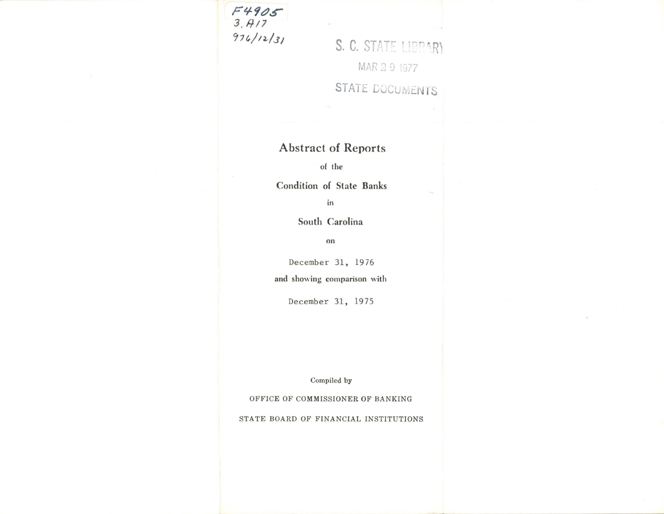

S. C. STATE LIBPARY MAR 2 9 1977 STATE DOCUMENTS

## **Abstract of Reports**

of the

Condition of State Banks

in

South Carolina

on

December 31, 1976

and showing comparison with

December 31, 1975

Compiled by

OFFICE OF COMMISSIONER OF BANKING

STATE BOARD OF FINANCIAL INSTITUTIONS